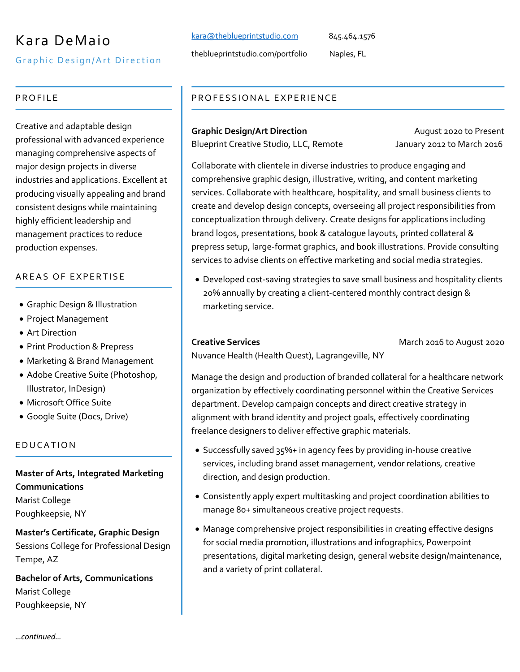# Kara DeMaio

Graphic Design/Art Direction

#### PROFILE

Creative and adaptable design professional with advanced experience managing comprehensive aspects of major design projects in diverse industries and applications. Excellent at producing visually appealing and brand consistent designs while maintaining highly efficient leadership and management practices to reduce production expenses.

#### AREAS OF EXPERTISE

- Graphic Design & Illustration
- Project Management
- Art Direction
- Print Production & Prepress
- Marketing & Brand Management
- Adobe Creative Suite (Photoshop, Illustrator, InDesign)
- Microsoft Office Suite
- Google Suite (Docs, Drive)

#### EDUCATION

## **Master of Arts, Integrated Marketing Communications**

Marist College Poughkeepsie, NY

## **Master's Certificate, Graphic Design**

Sessions College for Professional Design Tempe, AZ

**Bachelor of Arts, Communications** Marist College Poughkeepsie, NY

## kara@theblueprintstudio.com 845.464.1576

theblueprintstudio.com/portfolio Naples, FL

### PROFESSIONAL EXPERIENCE

**Graphic Design/Art Direction August 2020 to Present** Blueprint Creative Studio, LLC, Remote January 2012 to March 2016

Collaborate with clientele in diverse industries to produce engaging and comprehensive graphic design, illustrative, writing, and content marketing services. Collaborate with healthcare, hospitality, and small business clients to create and develop design concepts, overseeing all project responsibilities from conceptualization through delivery. Create designs for applications including brand logos, presentations, book & catalogue layouts, printed collateral & prepress setup, large-format graphics, and book illustrations. Provide consulting services to advise clients on effective marketing and social media strategies.

• Developed cost-saving strategies to save small business and hospitality clients 20% annually by creating a client-centered monthly contract design & marketing service.

**Creative Services** March 2016 to August 2020

Nuvance Health (Health Quest), Lagrangeville, NY

Manage the design and production of branded collateral for a healthcare network organization by effectively coordinating personnel within the Creative Services department. Develop campaign concepts and direct creative strategy in alignment with brand identity and project goals, effectively coordinating freelance designers to deliver effective graphic materials.

- Successfully saved 35%+ in agency fees by providing in-house creative services, including brand asset management, vendor relations, creative direction, and design production.
- Consistently apply expert multitasking and project coordination abilities to manage 80+ simultaneous creative project requests.
- Manage comprehensive project responsibilities in creating effective designs for social media promotion, illustrations and infographics, Powerpoint presentations, digital marketing design, general website design/maintenance, and a variety of print collateral.

*…continued…*